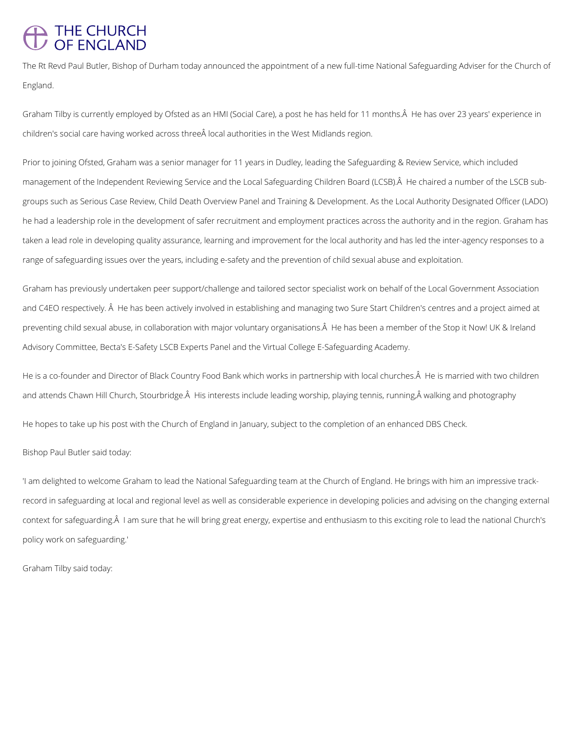## THE CHURCH<br>OF ENGLAND

The Rt Revd Paul Butler, Bishop of Durham today announced the appointment of a new full-time National Safeguarding Adviser for the Church of England.

Graham Tilby is currently employed by Ofsted as an HMI (Social Care), a post he has held for 11 months. A He has over 23 years' experience in children's social care having worked across three local authorities in the West Midlands region.

Prior to joining Ofsted, Graham was a senior manager for 11 years in Dudley, leading the Safeguarding & Review Service, which included management of the Independent Reviewing Service and the Local Safeguarding Children Board (LCSB). He chaired a number of the LSCB subgroups such as Serious Case Review, Child Death Overview Panel and Training & Development. As the Local Authority Designated Officer (LADO) he had a leadership role in the development of safer recruitment and employment practices across the authority and in the region. Graham has taken a lead role in developing quality assurance, learning and improvement for the local authority and has led the inter-agency responses to a range of safeguarding issues over the years, including e-safety and the prevention of child sexual abuse and exploitation.

Graham has previously undertaken peer support/challenge and tailored sector specialist work on behalf of the Local Government Association and C4EO respectively. Â He has been actively involved in establishing and managing two Sure Start Children's centres and a project aimed at preventing child sexual abuse, in collaboration with major voluntary organisations. A He has been a member of the Stop it Now! UK & Ireland Advisory Committee, Becta's E-Safety LSCB Experts Panel and the Virtual College E-Safeguarding Academy.

He is a co-founder and Director of Black Country Food Bank which works in partnership with local churches. A He is married with two children and attends Chawn Hill Church, Stourbridge. A His interests include leading worship, playing tennis, running, A walking and photography

He hopes to take up his post with the Church of England in January, subject to the completion of an enhanced DBS Check.

Bishop Paul Butler said today:

'I am delighted to welcome Graham to lead the National Safeguarding team at the Church of England. He brings with him an impressive trackrecord in safeguarding at local and regional level as well as considerable experience in developing policies and advising on the changing external context for safeguarding. I am sure that he will bring great energy, expertise and enthusiasm to this exciting role to lead the national Church's policy work on safeguarding.'

Graham Tilby said today: